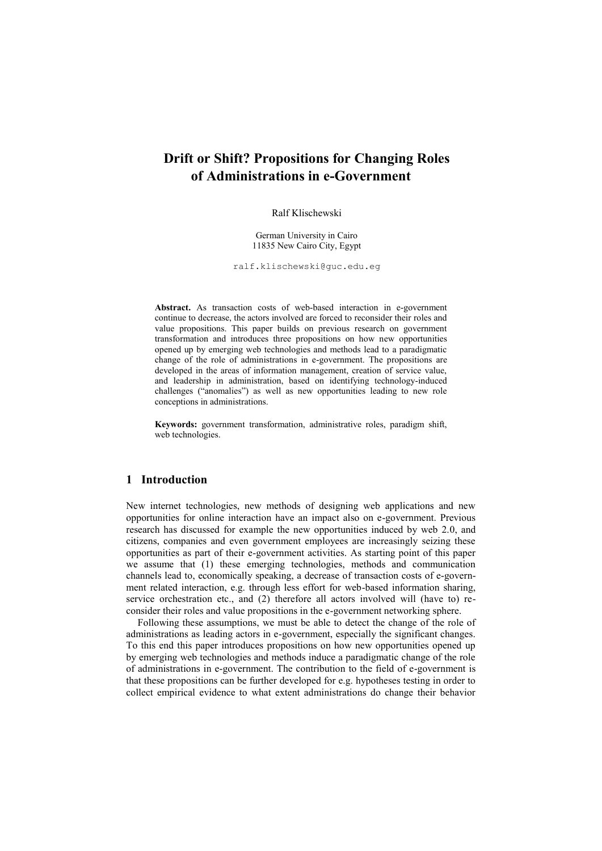# **Drift or Shift? Propositions for Changing Roles of Administrations in e-Government**

Ralf Klischewski

German University in Cairo 11835 New Cairo City, Egypt

ralf.klischewsk[i@guc.edu.e](mailto:LNCS@Springer.com)g

**Abstract.** As transaction costs of web-based interaction in e-government continue to decrease, the actors involved are forced to reconsider their roles and value propositions. This paper builds on previous research on government transformation and introduces three propositions on how new opportunities opened up by emerging web technologies and methods lead to a paradigmatic change of the role of administrations in e-government. The propositions are developed in the areas of information management, creation of service value, and leadership in administration, based on identifying technology-induced challenges ("anomalies") as well as new opportunities leading to new role conceptions in administrations.

**Keywords:** government transformation, administrative roles, paradigm shift, web technologies.

### **1 Introduction**

New internet technologies, new methods of designing web applications and new opportunities for online interaction have an impact also on e-government. Previous research has discussed for example the new opportunities induced by web 2.0, and citizens, companies and even government employees are increasingly seizing these opportunities as part of their e-government activities. As starting point of this paper we assume that (1) these emerging technologies, methods and communication channels lead to, economically speaking, a decrease of transaction costs of e-government related interaction, e.g. through less effort for web-based information sharing, service orchestration etc., and (2) therefore all actors involved will (have to) reconsider their roles and value propositions in the e-government networking sphere.

Following these assumptions, we must be able to detect the change of the role of administrations as leading actors in e-government, especially the significant changes. To this end this paper introduces propositions on how new opportunities opened up by emerging web technologies and methods induce a paradigmatic change of the role of administrations in e-government. The contribution to the field of e-government is that these propositions can be further developed for e.g. hypotheses testing in order to collect empirical evidence to what extent administrations do change their behavior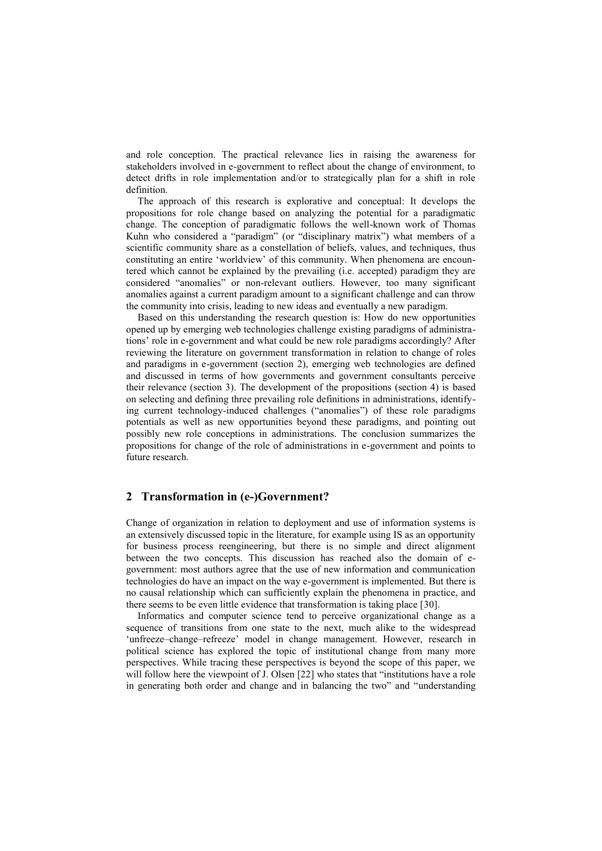and role conception. The practical relevance lies in raising the awareness for stakeholders involved in e-government to reflect about the change of environment, to detect drifts in role implementation and/or to strategically plan for a shift in role definition.

The approach of this research is explorative and conceptual: It develops the propositions for role change based on analyzing the potential for a paradigmatic change. The conception of paradigmatic follows the well-known work of Thomas Kuhn who considered a "paradigm" (or "disciplinary matrix") what members of a scientific community share as a constellation of beliefs, values, and techniques, thus constituting an entire "worldview" of this community. When phenomena are encountered which cannot be explained by the prevailing (i.e. accepted) paradigm they are considered "anomalies" or non-relevant outliers. However, too many significant anomalies against a current paradigm amount to a significant challenge and can throw the community into crisis, leading to new ideas and eventually a new paradigm.

Based on this understanding the research question is: How do new opportunities opened up by emerging web technologies challenge existing paradigms of administrations" role in e-government and what could be new role paradigms accordingly? After reviewing the literature on government transformation in relation to change of roles and paradigms in e-government (section 2), emerging web technologies are defined and discussed in terms of how governments and government consultants perceive their relevance (section 3). The development of the propositions (section 4) is based on selecting and defining three prevailing role definitions in administrations, identifying current technology-induced challenges ("anomalies") of these role paradigms potentials as well as new opportunities beyond these paradigms, and pointing out possibly new role conceptions in administrations. The conclusion summarizes the propositions for change of the role of administrations in e-government and points to future research.

### **2 Transformation in (e-)Government?**

Change of organization in relation to deployment and use of information systems is an extensively discussed topic in the literature, for example using IS as an opportunity for business process reengineering, but there is no simple and direct alignment between the two concepts. This discussion has reached also the domain of egovernment: most authors agree that the use of new information and communication technologies do have an impact on the way e-government is implemented. But there is no causal relationship which can sufficiently explain the phenomena in practice, and there seems to be even little evidence that transformation is taking place [30].

Informatics and computer science tend to perceive organizational change as a sequence of transitions from one state to the next, much alike to the widespread 'unfreeze-change-refreeze' model in change management. However, research in political science has explored the topic of institutional change from many more perspectives. While tracing these perspectives is beyond the scope of this paper, we will follow here the viewpoint of J. Olsen [22] who states that "institutions have a role in generating both order and change and in balancing the two" and "understanding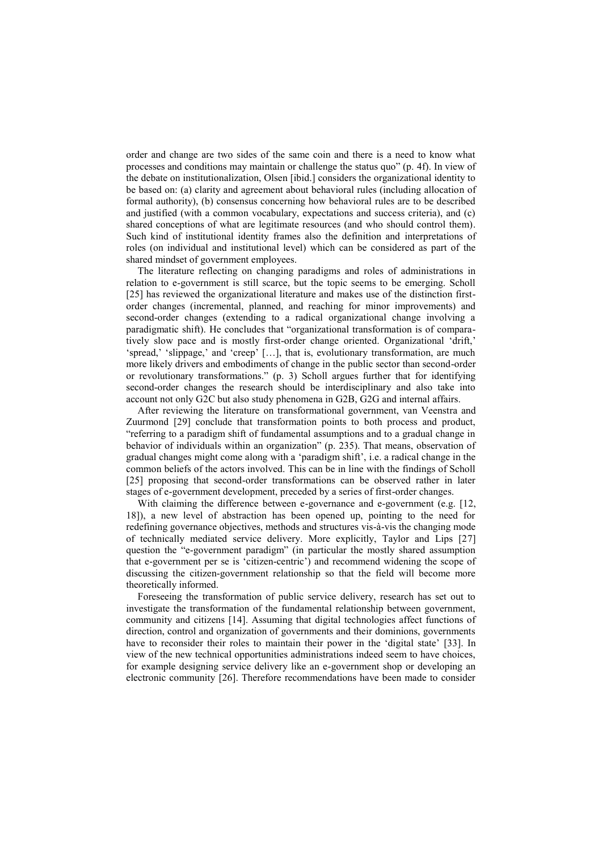order and change are two sides of the same coin and there is a need to know what processes and conditions may maintain or challenge the status quo" (p. 4f). In view of the debate on institutionalization, Olsen [ibid.] considers the organizational identity to be based on: (a) clarity and agreement about behavioral rules (including allocation of formal authority), (b) consensus concerning how behavioral rules are to be described and justified (with a common vocabulary, expectations and success criteria), and (c) shared conceptions of what are legitimate resources (and who should control them). Such kind of institutional identity frames also the definition and interpretations of roles (on individual and institutional level) which can be considered as part of the shared mindset of government employees.

The literature reflecting on changing paradigms and roles of administrations in relation to e-government is still scarce, but the topic seems to be emerging. Scholl [25] has reviewed the organizational literature and makes use of the distinction firstorder changes (incremental, planned, and reaching for minor improvements) and second-order changes (extending to a radical organizational change involving a paradigmatic shift). He concludes that "organizational transformation is of comparatively slow pace and is mostly first-order change oriented. Organizational "drift," 'spread,' 'slippage,' and 'creep' [...], that is, evolutionary transformation, are much more likely drivers and embodiments of change in the public sector than second-order or revolutionary transformations." (p. 3) Scholl argues further that for identifying second-order changes the research should be interdisciplinary and also take into account not only G2C but also study phenomena in G2B, G2G and internal affairs.

After reviewing the literature on transformational government, van Veenstra and Zuurmond [29] conclude that transformation points to both process and product, "referring to a paradigm shift of fundamental assumptions and to a gradual change in behavior of individuals within an organization" (p. 235). That means, observation of gradual changes might come along with a "paradigm shift", i.e. a radical change in the common beliefs of the actors involved. This can be in line with the findings of Scholl [25] proposing that second-order transformations can be observed rather in later stages of e-government development, preceded by a series of first-order changes.

With claiming the difference between e-governance and e-government (e.g. [12, 18]), a new level of abstraction has been opened up, pointing to the need for redefining governance objectives, methods and structures vis-à-vis the changing mode of technically mediated service delivery. More explicitly, Taylor and Lips [27] question the "e-government paradigm" (in particular the mostly shared assumption that e-government per se is "citizen-centric") and recommend widening the scope of discussing the citizen-government relationship so that the field will become more theoretically informed.

Foreseeing the transformation of public service delivery, research has set out to investigate the transformation of the fundamental relationship between government, community and citizens [14]. Assuming that digital technologies affect functions of direction, control and organization of governments and their dominions, governments have to reconsider their roles to maintain their power in the 'digital state' [33]. In view of the new technical opportunities administrations indeed seem to have choices, for example designing service delivery like an e-government shop or developing an electronic community [26]. Therefore recommendations have been made to consider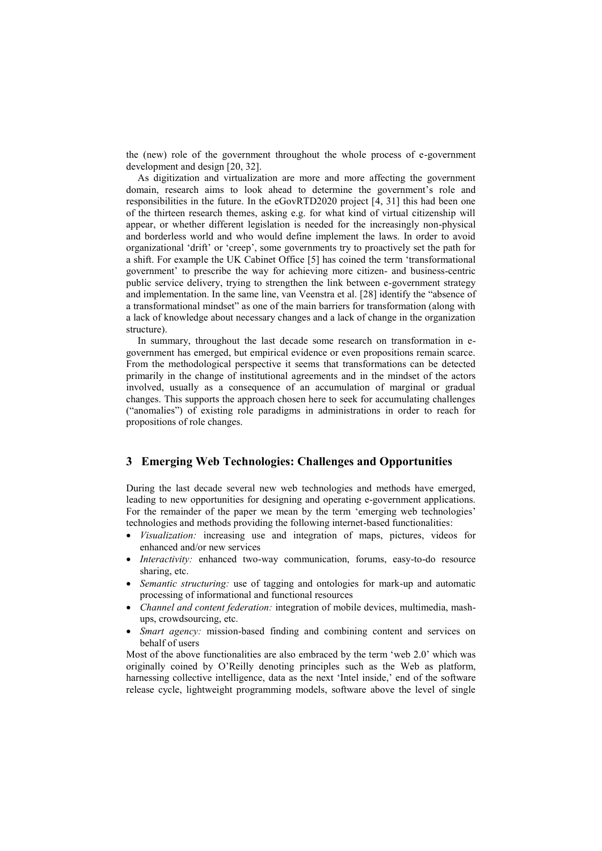the (new) role of the government throughout the whole process of e-government development and design [20, 32].

As digitization and virtualization are more and more affecting the government domain, research aims to look ahead to determine the government's role and responsibilities in the future. In the eGovRTD2020 project [4, 31] this had been one of the thirteen research themes, asking e.g. for what kind of virtual citizenship will appear, or whether different legislation is needed for the increasingly non-physical and borderless world and who would define implement the laws. In order to avoid organizational "drift" or "creep", some governments try to proactively set the path for a shift. For example the UK Cabinet Office [5] has coined the term "transformational government" to prescribe the way for achieving more citizen- and business-centric public service delivery, trying to strengthen the link between e-government strategy and implementation. In the same line, van Veenstra et al. [28] identify the "absence of a transformational mindset" as one of the main barriers for transformation (along with a lack of knowledge about necessary changes and a lack of change in the organization structure).

In summary, throughout the last decade some research on transformation in egovernment has emerged, but empirical evidence or even propositions remain scarce. From the methodological perspective it seems that transformations can be detected primarily in the change of institutional agreements and in the mindset of the actors involved, usually as a consequence of an accumulation of marginal or gradual changes. This supports the approach chosen here to seek for accumulating challenges ("anomalies") of existing role paradigms in administrations in order to reach for propositions of role changes.

# **3 Emerging Web Technologies: Challenges and Opportunities**

During the last decade several new web technologies and methods have emerged, leading to new opportunities for designing and operating e-government applications. For the remainder of the paper we mean by the term 'emerging web technologies' technologies and methods providing the following internet-based functionalities:

- *Visualization:* increasing use and integration of maps, pictures, videos for enhanced and/or new services
- *Interactivity:* enhanced two-way communication, forums, easy-to-do resource sharing, etc.
- *Semantic structuring:* use of tagging and ontologies for mark-up and automatic processing of informational and functional resources
- *Channel and content federation:* integration of mobile devices, multimedia, mashups, crowdsourcing, etc.
- *Smart agency:* mission-based finding and combining content and services on behalf of users

Most of the above functionalities are also embraced by the term "web 2.0" which was originally coined by O"Reilly denoting principles such as the Web as platform, harnessing collective intelligence, data as the next 'Intel inside,' end of the software release cycle, lightweight programming models, software above the level of single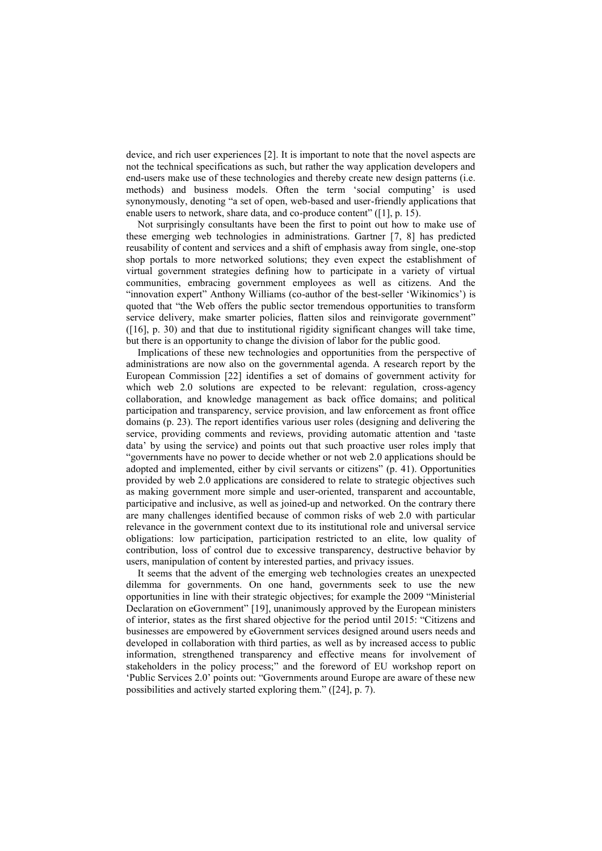device, and rich user experiences [2]. It is important to note that the novel aspects are not the technical specifications as such, but rather the way application developers and end-users make use of these technologies and thereby create new design patterns (i.e. methods) and business models. Often the term "social computing" is used synonymously, denoting "a set of open, web-based and user-friendly applications that enable users to network, share data, and co-produce content" ([1], p. 15).

Not surprisingly consultants have been the first to point out how to make use of these emerging web technologies in administrations. Gartner [7, 8] has predicted reusability of content and services and a shift of emphasis away from single, one-stop shop portals to more networked solutions; they even expect the establishment of virtual government strategies defining how to participate in a variety of virtual communities, embracing government employees as well as citizens. And the "innovation expert" Anthony Williams (co-author of the best-seller "Wikinomics") is quoted that "the Web offers the public sector tremendous opportunities to transform service delivery, make smarter policies, flatten silos and reinvigorate government"  $(16)$ , p. 30) and that due to institutional rigidity significant changes will take time. but there is an opportunity to change the division of labor for the public good.

Implications of these new technologies and opportunities from the perspective of administrations are now also on the governmental agenda. A research report by the European Commission [22] identifies a set of domains of government activity for which web 2.0 solutions are expected to be relevant: regulation, cross-agency collaboration, and knowledge management as back office domains; and political participation and transparency, service provision, and law enforcement as front office domains (p. 23). The report identifies various user roles (designing and delivering the service, providing comments and reviews, providing automatic attention and "taste data" by using the service) and points out that such proactive user roles imply that "governments have no power to decide whether or not web 2.0 applications should be adopted and implemented, either by civil servants or citizens" (p. 41). Opportunities provided by web 2.0 applications are considered to relate to strategic objectives such as making government more simple and user-oriented, transparent and accountable, participative and inclusive, as well as joined-up and networked. On the contrary there are many challenges identified because of common risks of web 2.0 with particular relevance in the government context due to its institutional role and universal service obligations: low participation, participation restricted to an elite, low quality of contribution, loss of control due to excessive transparency, destructive behavior by users, manipulation of content by interested parties, and privacy issues.

It seems that the advent of the emerging web technologies creates an unexpected dilemma for governments. On one hand, governments seek to use the new opportunities in line with their strategic objectives; for example the 2009 "Ministerial Declaration on eGovernment" [19], unanimously approved by the European ministers of interior, states as the first shared objective for the period until 2015: "Citizens and businesses are empowered by eGovernment services designed around users needs and developed in collaboration with third parties, as well as by increased access to public information, strengthened transparency and effective means for involvement of stakeholders in the policy process;" and the foreword of EU workshop report on "Public Services 2.0" points out: "Governments around Europe are aware of these new possibilities and actively started exploring them." ([24], p. 7).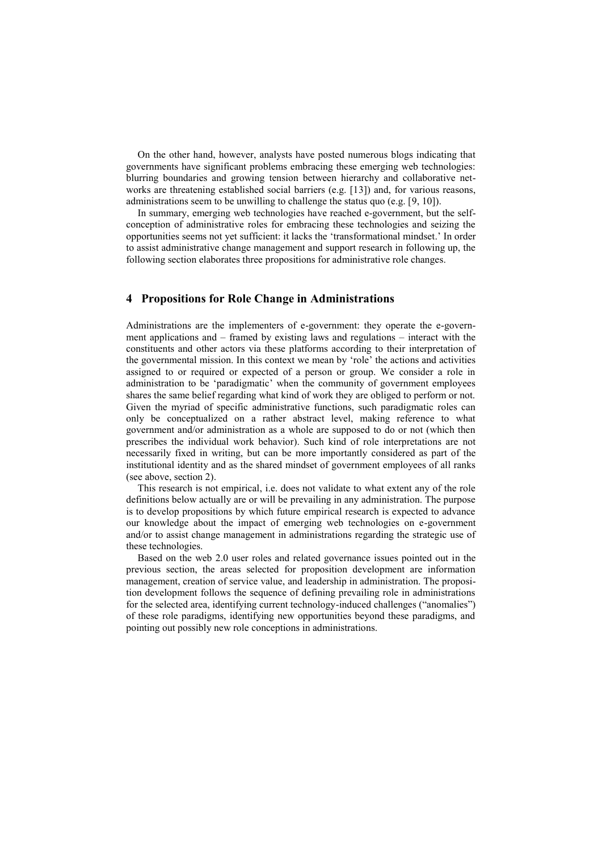On the other hand, however, analysts have posted numerous blogs indicating that governments have significant problems embracing these emerging web technologies: blurring boundaries and growing tension between hierarchy and collaborative networks are threatening established social barriers (e.g. [13]) and, for various reasons, administrations seem to be unwilling to challenge the status quo (e.g. [9, 10]).

In summary, emerging web technologies have reached e-government, but the selfconception of administrative roles for embracing these technologies and seizing the opportunities seems not yet sufficient: it lacks the "transformational mindset." In order to assist administrative change management and support research in following up, the following section elaborates three propositions for administrative role changes.

### **4 Propositions for Role Change in Administrations**

Administrations are the implementers of e-government: they operate the e-government applications and – framed by existing laws and regulations – interact with the constituents and other actors via these platforms according to their interpretation of the governmental mission. In this context we mean by "role" the actions and activities assigned to or required or expected of a person or group. We consider a role in administration to be "paradigmatic" when the community of government employees shares the same belief regarding what kind of work they are obliged to perform or not. Given the myriad of specific administrative functions, such paradigmatic roles can only be conceptualized on a rather abstract level, making reference to what government and/or administration as a whole are supposed to do or not (which then prescribes the individual work behavior). Such kind of role interpretations are not necessarily fixed in writing, but can be more importantly considered as part of the institutional identity and as the shared mindset of government employees of all ranks (see above, section 2).

This research is not empirical, i.e. does not validate to what extent any of the role definitions below actually are or will be prevailing in any administration. The purpose is to develop propositions by which future empirical research is expected to advance our knowledge about the impact of emerging web technologies on e-government and/or to assist change management in administrations regarding the strategic use of these technologies.

Based on the web 2.0 user roles and related governance issues pointed out in the previous section, the areas selected for proposition development are information management, creation of service value, and leadership in administration. The proposition development follows the sequence of defining prevailing role in administrations for the selected area, identifying current technology-induced challenges ("anomalies") of these role paradigms, identifying new opportunities beyond these paradigms, and pointing out possibly new role conceptions in administrations.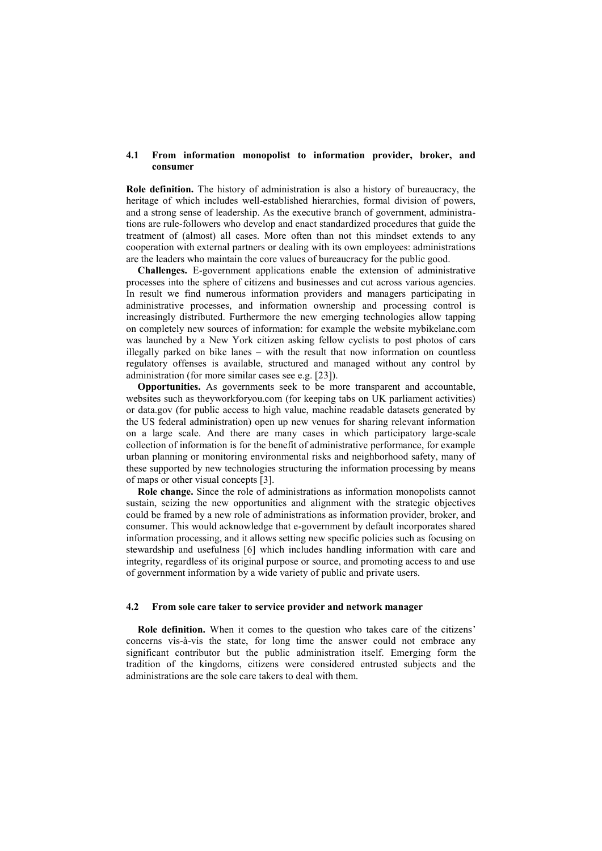#### **4.1 From information monopolist to information provider, broker, and consumer**

**Role definition.** The history of administration is also a history of bureaucracy, the heritage of which includes well-established hierarchies, formal division of powers, and a strong sense of leadership. As the executive branch of government, administrations are rule-followers who develop and enact standardized procedures that guide the treatment of (almost) all cases. More often than not this mindset extends to any cooperation with external partners or dealing with its own employees: administrations are the leaders who maintain the core values of bureaucracy for the public good.

**Challenges.** E-government applications enable the extension of administrative processes into the sphere of citizens and businesses and cut across various agencies. In result we find numerous information providers and managers participating in administrative processes, and information ownership and processing control is increasingly distributed. Furthermore the new emerging technologies allow tapping on completely new sources of information: for example the website mybikelane.com was launched by a New York citizen asking fellow cyclists to post photos of cars illegally parked on bike lanes – with the result that now information on countless regulatory offenses is available, structured and managed without any control by administration (for more similar cases see e.g. [23]).

**Opportunities.** As governments seek to be more transparent and accountable, websites such as theyworkforyou.com (for keeping tabs on UK parliament activities) or data.gov (for public access to high value, machine readable datasets generated by the US federal administration) open up new venues for sharing relevant information on a large scale. And there are many cases in which participatory large-scale collection of information is for the benefit of administrative performance, for example urban planning or monitoring environmental risks and neighborhood safety, many of these supported by new technologies structuring the information processing by means of maps or other visual concepts [3].

**Role change.** Since the role of administrations as information monopolists cannot sustain, seizing the new opportunities and alignment with the strategic objectives could be framed by a new role of administrations as information provider, broker, and consumer. This would acknowledge that e-government by default incorporates shared information processing, and it allows setting new specific policies such as focusing on stewardship and usefulness [6] which includes handling information with care and integrity, regardless of its original purpose or source, and promoting access to and use of government information by a wide variety of public and private users.

### **4.2 From sole care taker to service provider and network manager**

**Role definition.** When it comes to the question who takes care of the citizens' concerns vis-à-vis the state, for long time the answer could not embrace any significant contributor but the public administration itself. Emerging form the tradition of the kingdoms, citizens were considered entrusted subjects and the administrations are the sole care takers to deal with them.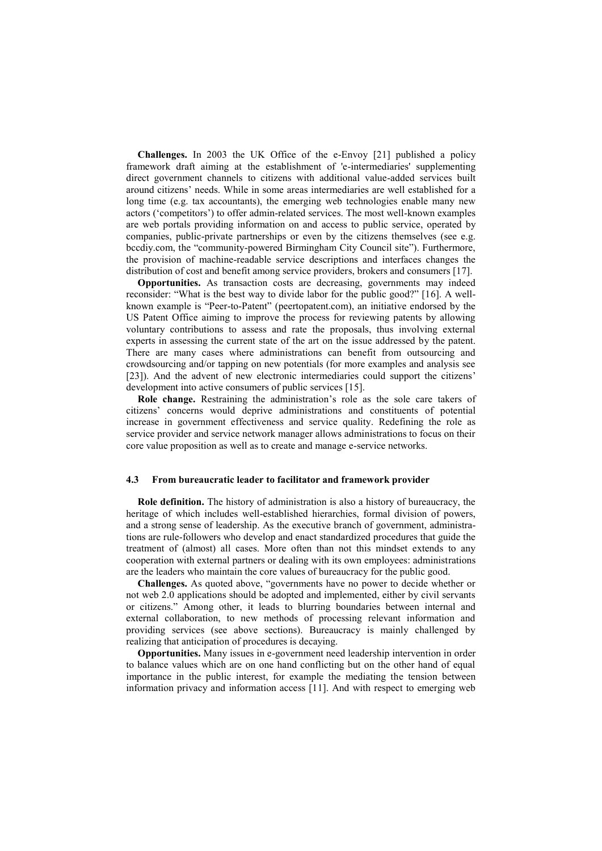**Challenges.** In 2003 the UK Office of the e-Envoy [21] published a policy framework draft aiming at the establishment of 'e-intermediaries' supplementing direct government channels to citizens with additional value-added services built around citizens" needs. While in some areas intermediaries are well established for a long time (e.g. tax accountants), the emerging web technologies enable many new actors ("competitors") to offer admin-related services. The most well-known examples are web portals providing information on and access to public service, operated by companies, public-private partnerships or even by the citizens themselves (see e.g. bccdiy.com, the "community-powered Birmingham City Council site"). Furthermore, the provision of machine-readable service descriptions and interfaces changes the distribution of cost and benefit among service providers, brokers and consumers [17].

**Opportunities.** As transaction costs are decreasing, governments may indeed reconsider: "What is the best way to divide labor for the public good?" [16]. A wellknown example is "Peer-to-Patent" (peertopatent.com), an initiative endorsed by the US Patent Office aiming to improve the process for reviewing patents by allowing voluntary contributions to assess and rate the proposals, thus involving external experts in assessing the current state of the art on the issue addressed by the patent. There are many cases where administrations can benefit from outsourcing and crowdsourcing and/or tapping on new potentials (for more examples and analysis see [23]). And the advent of new electronic intermediaries could support the citizens' development into active consumers of public services [15].

Role change. Restraining the administration's role as the sole care takers of citizens" concerns would deprive administrations and constituents of potential increase in government effectiveness and service quality. Redefining the role as service provider and service network manager allows administrations to focus on their core value proposition as well as to create and manage e-service networks.

#### **4.3 From bureaucratic leader to facilitator and framework provider**

**Role definition.** The history of administration is also a history of bureaucracy, the heritage of which includes well-established hierarchies, formal division of powers, and a strong sense of leadership. As the executive branch of government, administrations are rule-followers who develop and enact standardized procedures that guide the treatment of (almost) all cases. More often than not this mindset extends to any cooperation with external partners or dealing with its own employees: administrations are the leaders who maintain the core values of bureaucracy for the public good.

**Challenges.** As quoted above, "governments have no power to decide whether or not web 2.0 applications should be adopted and implemented, either by civil servants or citizens." Among other, it leads to blurring boundaries between internal and external collaboration, to new methods of processing relevant information and providing services (see above sections). Bureaucracy is mainly challenged by realizing that anticipation of procedures is decaying.

**Opportunities.** Many issues in e-government need leadership intervention in order to balance values which are on one hand conflicting but on the other hand of equal importance in the public interest, for example the mediating the tension between information privacy and information access [11]. And with respect to emerging web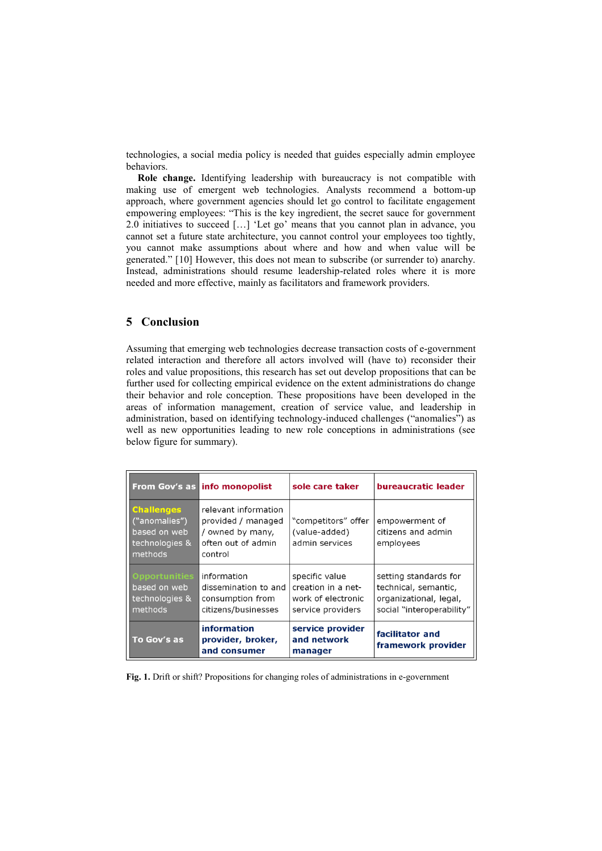technologies, a social media policy is needed that guides especially admin employee behaviors.

**Role change.** Identifying leadership with bureaucracy is not compatible with making use of emergent web technologies. Analysts recommend a bottom-up approach, where government agencies should let go control to facilitate engagement empowering employees: "This is the key ingredient, the secret sauce for government 2.0 initiatives to succeed […] "Let go" means that you cannot plan in advance, you cannot set a future state architecture, you cannot control your employees too tightly, you cannot make assumptions about where and how and when value will be generated." [10] However, this does not mean to subscribe (or surrender to) anarchy. Instead, administrations should resume leadership-related roles where it is more needed and more effective, mainly as facilitators and framework providers.

# **5 Conclusion**

Assuming that emerging web technologies decrease transaction costs of e-government related interaction and therefore all actors involved will (have to) reconsider their roles and value propositions, this research has set out develop propositions that can be further used for collecting empirical evidence on the extent administrations do change their behavior and role conception. These propositions have been developed in the areas of information management, creation of service value, and leadership in administration, based on identifying technology-induced challenges ("anomalies") as well as new opportunities leading to new role conceptions in administrations (see below figure for summary).

|                                                                                 | From Gov's as info monopolist                                                                   | sole care taker                                                                 | bureaucratic leader                                                                                  |
|---------------------------------------------------------------------------------|-------------------------------------------------------------------------------------------------|---------------------------------------------------------------------------------|------------------------------------------------------------------------------------------------------|
| <b>Challenges</b><br>("anomalies")<br>based on web<br>technologies &<br>methods | relevant information<br>provided / managed<br>/ owned by many,<br>often out of admin<br>control | "competitors" offer<br>(value-added)<br>admin services                          | empowerment of<br>citizens and admin<br>employees                                                    |
| <b>Opportunities</b><br>based on web<br>technologies &<br>methods               | information<br>dissemination to and<br>consumption from<br>citizens/businesses                  | specific value<br>creation in a net-<br>work of electronic<br>service providers | setting standards for<br>technical, semantic,<br>organizational, legal,<br>social "interoperability" |
| To Gov's as                                                                     | information<br>provider, broker,<br>and consumer                                                | service provider<br>and network<br>manager                                      | facilitator and<br>framework provider                                                                |

**Fig. 1.** Drift or shift? Propositions for changing roles of administrations in e-government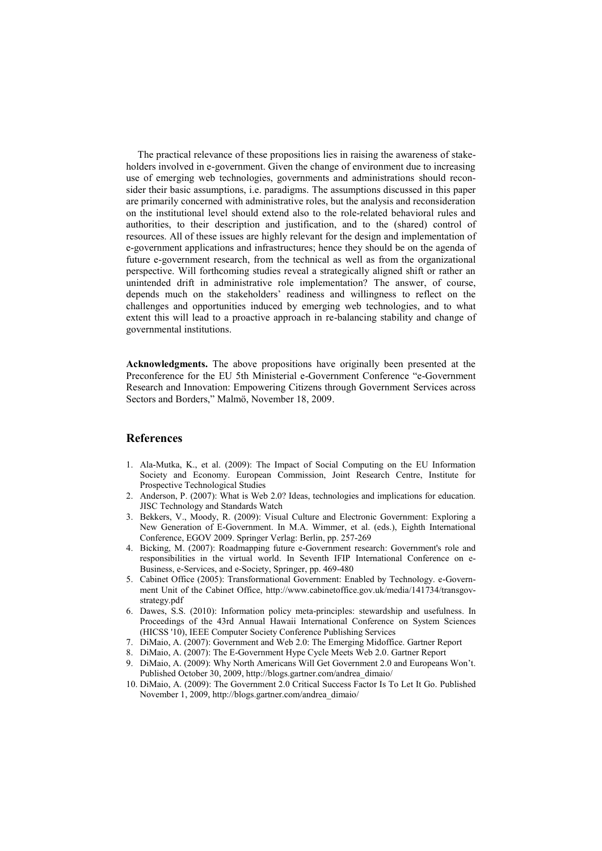The practical relevance of these propositions lies in raising the awareness of stakeholders involved in e-government. Given the change of environment due to increasing use of emerging web technologies, governments and administrations should reconsider their basic assumptions, i.e. paradigms. The assumptions discussed in this paper are primarily concerned with administrative roles, but the analysis and reconsideration on the institutional level should extend also to the role-related behavioral rules and authorities, to their description and justification, and to the (shared) control of resources. All of these issues are highly relevant for the design and implementation of e-government applications and infrastructures; hence they should be on the agenda of future e-government research, from the technical as well as from the organizational perspective. Will forthcoming studies reveal a strategically aligned shift or rather an unintended drift in administrative role implementation? The answer, of course, depends much on the stakeholders" readiness and willingness to reflect on the challenges and opportunities induced by emerging web technologies, and to what extent this will lead to a proactive approach in re-balancing stability and change of governmental institutions.

**Acknowledgments.** The above propositions have originally been presented at the Preconference for the EU 5th Ministerial e-Government Conference "e-Government Research and Innovation: Empowering Citizens through Government Services across Sectors and Borders," Malmö, November 18, 2009.

# **References**

- 1. Ala-Mutka, K., et al. (2009): The Impact of Social Computing on the EU Information Society and Economy. European Commission, Joint Research Centre, Institute for Prospective Technological Studies
- 2. Anderson, P. (2007): What is Web 2.0? Ideas, technologies and implications for education. JISC Technology and Standards Watch
- 3. Bekkers, V., Moody, R. (2009): Visual Culture and Electronic Government: Exploring a New Generation of E-Government. In M.A. Wimmer, et al. (eds.), Eighth International Conference, EGOV 2009. Springer Verlag: Berlin, pp. 257-269
- 4. Bicking, M. (2007): Roadmapping future e-Government research: Government's role and responsibilities in the virtual world. In Seventh IFIP International Conference on e-Business, e-Services, and e-Society, Springer, pp. 469-480
- 5. Cabinet Office (2005): Transformational Government: Enabled by Technology. e-Government Unit of the Cabinet Office, http://www.cabinetoffice.gov.uk/media/141734/transgovstrategy.pdf
- 6. Dawes, S.S. (2010): Information policy meta-principles: stewardship and usefulness. In Proceedings of the 43rd Annual Hawaii International Conference on System Sciences (HICSS '10), IEEE Computer Society Conference Publishing Services
- 7. DiMaio, A. (2007): Government and Web 2.0: The Emerging Midoffice. Gartner Report
- 8. DiMaio, A. (2007): The E-Government Hype Cycle Meets Web 2.0. Gartner Report
- 9. DiMaio, A. (2009): Why North Americans Will Get Government 2.0 and Europeans Won"t. Published October 30, 2009, http://blogs.gartner.com/andrea\_dimaio/
- 10. DiMaio, A. (2009): The Government 2.0 Critical Success Factor Is To Let It Go. Published November 1, 2009, http://blogs.gartner.com/andrea\_dimaio/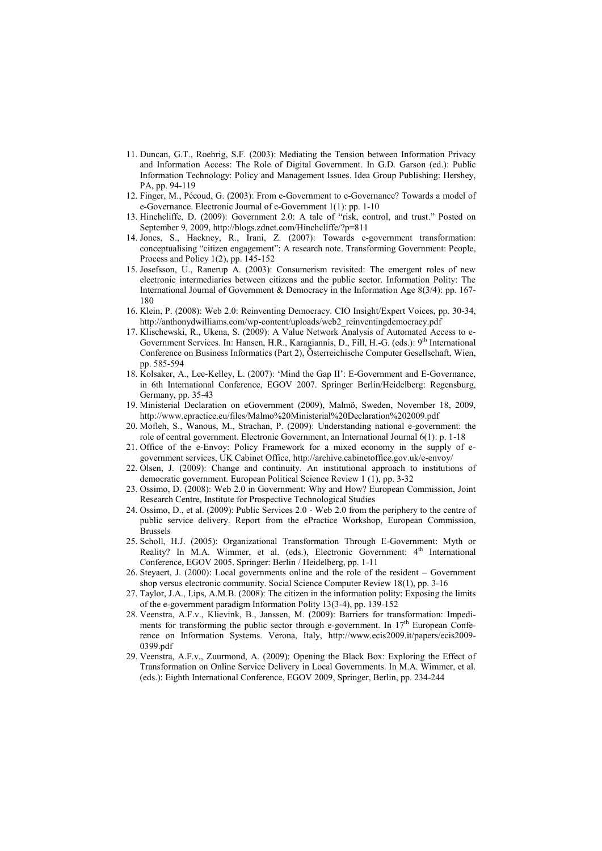- 11. Duncan, G.T., Roehrig, S.F. (2003): Mediating the Tension between Information Privacy and Information Access: The Role of Digital Government. In G.D. Garson (ed.): Public Information Technology: Policy and Management Issues. Idea Group Publishing: Hershey, PA, pp. 94-119
- 12. Finger, M., Pécoud, G. (2003): From e-Government to e-Governance? Towards a model of e-Governance. Electronic Journal of e-Government 1(1): pp. 1-10
- 13. Hinchcliffe, D. (2009): Government 2.0: A tale of "risk, control, and trust." Posted on September 9, 2009, http://blogs.zdnet.com/Hinchcliffe/?p=811
- 14. Jones, S., Hackney, R., Irani, Z. (2007): Towards e-government transformation: conceptualising "citizen engagement": A research note. Transforming Government: People, Process and Policy 1(2), pp. 145-152
- 15. Josefsson, U., Ranerup A. (2003): Consumerism revisited: The emergent roles of new electronic intermediaries between citizens and the public sector. Information Polity: The International Journal of Government & Democracy in the Information Age 8(3/4): pp. 167- 180
- 16. Klein, P. (2008): Web 2.0: Reinventing Democracy. CIO Insight/Expert Voices, pp. 30-34, http://anthonydwilliams.com/wp-content/uploads/web2\_reinventingdemocracy.pdf
- 17. Klischewski, R., Ukena, S. (2009): A Value Network Analysis of Automated Access to e-Government Services. In: Hansen, H.R., Karagiannis, D., Fill, H.-G. (eds.): 9<sup>th</sup> International Conference on Business Informatics (Part 2), Österreichische Computer Gesellschaft, Wien, pp. 585-594
- 18. Kolsaker, A., Lee-Kelley, L. (2007): "Mind the Gap II": E-Government and E-Governance, in 6th International Conference, EGOV 2007. Springer Berlin/Heidelberg: Regensburg, Germany, pp. 35-43
- 19. Ministerial Declaration on eGovernment (2009), Malmö, Sweden, November 18, 2009, http://www.epractice.eu/files/Malmo%20Ministerial%20Declaration%202009.pdf
- 20. Mofleh, S., Wanous, M., Strachan, P. (2009): Understanding national e-government: the role of central government. Electronic Government, an International Journal 6(1): p. 1-18
- 21. Office of the e-Envoy: Policy Framework for a mixed economy in the supply of egovernment services, UK Cabinet Office, http://archive.cabinetoffice.gov.uk/e-envoy/
- 22. Olsen, J. (2009): Change and continuity. An institutional approach to institutions of democratic government. European Political Science Review 1 (1), pp. 3-32
- 23. Ossimo, D. (2008): Web 2.0 in Government: Why and How? European Commission, Joint Research Centre, Institute for Prospective Technological Studies
- 24. Ossimo, D., et al. (2009): Public Services 2.0 Web 2.0 from the periphery to the centre of public service delivery. Report from the ePractice Workshop, European Commission, Brussels
- 25. Scholl, H.J. (2005): Organizational Transformation Through E-Government: Myth or Reality? In M.A. Wimmer, et al. (eds.), Electronic Government: 4<sup>th</sup> International Conference, EGOV 2005. Springer: Berlin / Heidelberg, pp. 1-11
- 26. Steyaert, J. (2000): Local governments online and the role of the resident Government shop versus electronic community. Social Science Computer Review 18(1), pp. 3-16
- 27. Taylor, J.A., Lips, A.M.B. (2008): The citizen in the information polity: Exposing the limits of the e-government paradigm Information Polity 13(3-4), pp. 139-152
- 28. Veenstra, A.F.v., Klievink, B., Janssen, M. (2009): Barriers for transformation: Impediments for transforming the public sector through e-government. In  $17<sup>th</sup>$  European Conference on Information Systems. Verona, Italy, http://www.ecis2009.it/papers/ecis2009- 0399.pdf
- 29. Veenstra, A.F.v., Zuurmond, A. (2009): Opening the Black Box: Exploring the Effect of Transformation on Online Service Delivery in Local Governments. In M.A. Wimmer, et al. (eds.): Eighth International Conference, EGOV 2009, Springer, Berlin, pp. 234-244